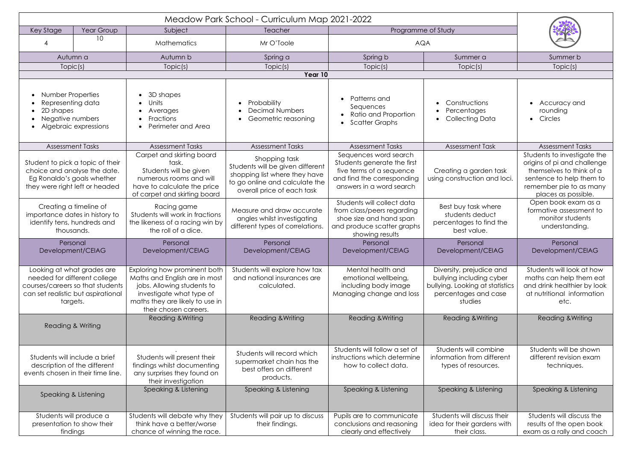| Key Stage<br>Year Group                                                                                                                          |    | Subject                                                                                                                                                                             | Teacher                                                                                                                                            | Programme of Study                                                                                                                         |                                                                                                                            |                                                                                                                                                                      |  |  |  |
|--------------------------------------------------------------------------------------------------------------------------------------------------|----|-------------------------------------------------------------------------------------------------------------------------------------------------------------------------------------|----------------------------------------------------------------------------------------------------------------------------------------------------|--------------------------------------------------------------------------------------------------------------------------------------------|----------------------------------------------------------------------------------------------------------------------------|----------------------------------------------------------------------------------------------------------------------------------------------------------------------|--|--|--|
|                                                                                                                                                  | 10 | <b>Mathematics</b>                                                                                                                                                                  | Mr O'Toole                                                                                                                                         | <b>AQA</b>                                                                                                                                 |                                                                                                                            |                                                                                                                                                                      |  |  |  |
| Autumn a                                                                                                                                         |    | Autumn b                                                                                                                                                                            | Spring a                                                                                                                                           | Spring b                                                                                                                                   | Summer a                                                                                                                   | Summer b                                                                                                                                                             |  |  |  |
| Topic(s)                                                                                                                                         |    | Topic(s)                                                                                                                                                                            | Topic(s)                                                                                                                                           | Topic(s)                                                                                                                                   | Topic(s)                                                                                                                   | Topic(s)                                                                                                                                                             |  |  |  |
| Year 10                                                                                                                                          |    |                                                                                                                                                                                     |                                                                                                                                                    |                                                                                                                                            |                                                                                                                            |                                                                                                                                                                      |  |  |  |
| <b>Number Properties</b><br>Representing data<br>2D shapes<br>Negative numbers<br>Algebraic expressions                                          |    | 3D shapes<br>Units<br>Averages<br>Fractions<br>Perimeter and Area                                                                                                                   | Probability<br><b>Decimal Numbers</b><br>Geometric reasoning                                                                                       | Patterns and<br>Sequences<br>Ratio and Proportion<br><b>Scatter Graphs</b>                                                                 | Constructions<br>Percentages<br><b>Collecting Data</b>                                                                     | Accuracy and<br>rounding<br>Circles                                                                                                                                  |  |  |  |
| <b>Assessment Tasks</b>                                                                                                                          |    | <b>Assessment Tasks</b>                                                                                                                                                             | <b>Assessment Tasks</b>                                                                                                                            | <b>Assessment Tasks</b>                                                                                                                    | <b>Assessment Task</b>                                                                                                     | <b>Assessment Tasks</b>                                                                                                                                              |  |  |  |
| Student to pick a topic of their<br>choice and analyse the date.<br>Eg Ronaldo's goals whether<br>they were right left or headed                 |    | Carpet and skirting board<br>task.<br>Students will be given<br>numerous rooms and will<br>have to calculate the price<br>of carpet and skirting board                              | Shopping task<br>Students will be given different<br>shopping list where they have<br>to go online and calculate the<br>overall price of each task | Sequences word search<br>Students generate the first<br>five terms of a sequence<br>and find the corresponding<br>answers in a word search | Creating a garden task<br>using construction and loci.                                                                     | Students to investigate the<br>origins of pi and challenge<br>themselves to think of a<br>sentence to help them to<br>remember pie to as many<br>places as possible. |  |  |  |
| Creating a timeline of<br>importance dates in history to<br>identify tens, hundreds and<br>thousands.                                            |    | Racing game<br>Students will work in fractions<br>the likeness of a racing win by<br>the roll of a dice.                                                                            | Measure and draw accurate<br>angles whilst investigating<br>different types of correlations.                                                       | Students will collect data<br>from class/peers regarding<br>shoe size and hand span<br>and produce scatter graphs<br>showing results       | Best buy task where<br>students deduct<br>percentages to find the<br>best value.                                           | Open book exam as a<br>formative assessment to<br>monitor students<br>understanding.                                                                                 |  |  |  |
| Personal<br>Development/CEIAG                                                                                                                    |    | Personal<br>Development/CEIAG                                                                                                                                                       | Personal<br>Development/CEIAG                                                                                                                      | Personal<br>Development/CEIAG                                                                                                              | Personal<br>Development/CEIAG                                                                                              | Personal<br>Development/CEIAG                                                                                                                                        |  |  |  |
| Looking at what grades are<br>needed for different college<br>courses/careers so that students<br>can set realistic but aspirational<br>targets. |    | Exploring how prominent both<br>Maths and English are in most<br>jobs. Allowing students to<br>investigate what type of<br>maths they are likely to use in<br>their chosen careers. | Students will explore how tax<br>and national insurances are<br>calculated.                                                                        | Mental health and<br>emotional wellbeing,<br>including body image<br>Managing change and loss                                              | Diversity, prejudice and<br>bullying including cyber<br>bullying. Looking at statistics<br>percentages and case<br>studies | Students will look at how<br>maths can help them eat<br>and drink healthier by look<br>at nutritional information<br>etc.                                            |  |  |  |
| Reading & Writing                                                                                                                                |    | Reading & Writing                                                                                                                                                                   | <b>Reading &amp; Writing</b>                                                                                                                       | Reading & Writing                                                                                                                          | Reading & Writing                                                                                                          | <b>Reading &amp; Writing</b>                                                                                                                                         |  |  |  |
| Students will include a brief<br>description of the different<br>events chosen in their time line.                                               |    | Students will present their<br>findings whilst documenting<br>any surprises they found on<br>their investigation                                                                    | Students will record which<br>supermarket chain has the<br>best offers on different<br>products.                                                   | Students will follow a set of<br>instructions which determine<br>how to collect data.                                                      | Students will combine<br>information from different<br>types of resources.                                                 | Students will be shown<br>different revision exam<br>techniques.                                                                                                     |  |  |  |
| Speaking & Listening                                                                                                                             |    | Speaking & Listening                                                                                                                                                                | Speaking & Listening                                                                                                                               | Speaking & Listening                                                                                                                       | Speaking & Listening                                                                                                       | Speaking & Listening                                                                                                                                                 |  |  |  |
| Students will produce a<br>presentation to show their<br>findings                                                                                |    | Students will debate why they<br>think have a better/worse<br>chance of winning the race.                                                                                           | Students will pair up to discuss<br>their findings.                                                                                                | Pupils are to communicate<br>conclusions and reasoning<br>clearly and effectively                                                          | Students will discuss their<br>idea for their gardens with<br>their class.                                                 | Students will discuss the<br>results of the open book<br>exam as a rally and coach                                                                                   |  |  |  |